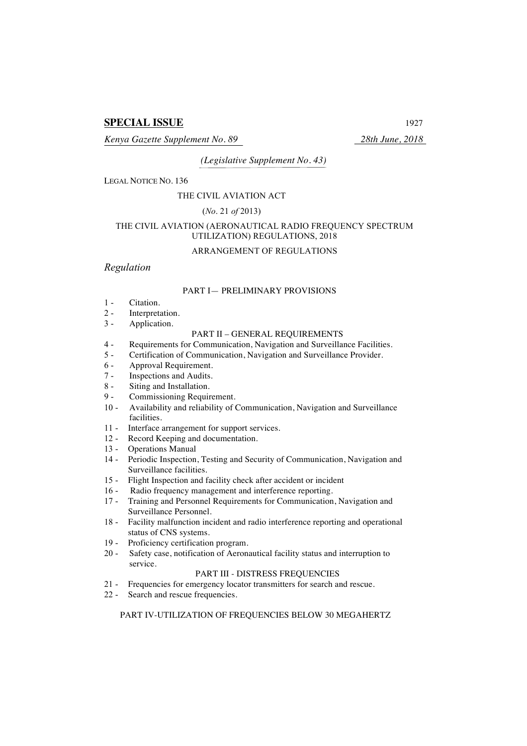# **SPECIAL ISSUE** 1927

*Kenya Gazette Supplement No. 89 28th June, 2018*

*(Legislative Supplement No. 43)*

LEGAL NOTICE NO. 136

#### THE CIVIL AVIATION ACT

#### (*No*. 21 *of* 2013)

## THE CIVIL AVIATION (AERONAUTICAL RADIO FREQUENCY SPECTRUM UTILIZATION) REGULATIONS, 2018

## ARRANGEMENT OF REGULATIONS

## *Regulation*

## PART I— PRELIMINARY PROVISIONS

- 1 Citation.
- 2 Interpretation.
- 3 Application.

# PART II – GENERAL REQUIREMENTS

- 4 Requirements for Communication, Navigation and Surveillance Facilities.
- 5 Certification of Communication, Navigation and Surveillance Provider.
- 6 Approval Requirement.
- 7 Inspections and Audits.
- 8 Siting and Installation.
- 9 Commissioning Requirement.
- 10 Availability and reliability of Communication, Navigation and Surveillance facilities.
- 11 Interface arrangement for support services.
- 12 Record Keeping and documentation.
- 13 Operations Manual
- 14 Periodic Inspection, Testing and Security of Communication, Navigation and Surveillance facilities.
- 15 Flight Inspection and facility check after accident or incident
- 16 Radio frequency management and interference reporting.
- 17 Training and Personnel Requirements for Communication, Navigation and Surveillance Personnel.
- 18 Facility malfunction incident and radio interference reporting and operational status of CNS systems.
- 19 Proficiency certification program.
- 20 Safety case, notification of Aeronautical facility status and interruption to service.

# PART III - DISTRESS FREQUENCIES

- 21 Frequencies for emergency locator transmitters for search and rescue.
- 22 Search and rescue frequencies.

# PART IV-UTILIZATION OF FREQUENCIES BELOW 30 MEGAHERTZ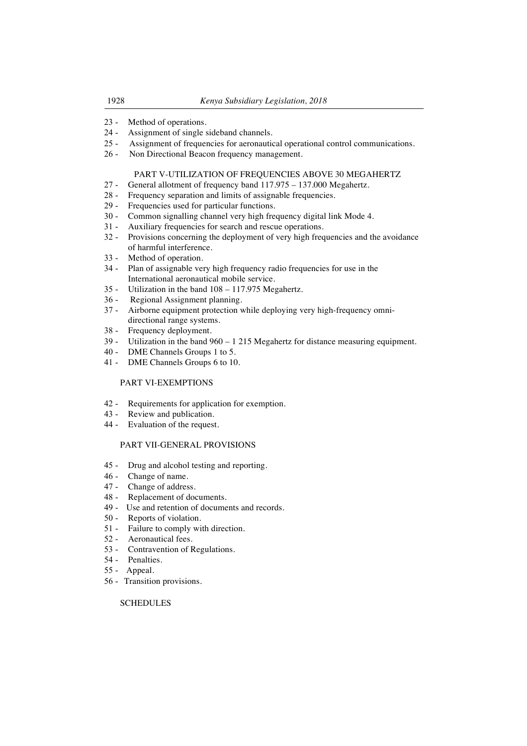- 23 Method of operations.
- 24 Assignment of single sideband channels.<br>25 Assignment of frequencies for aeronautic
- Assignment of frequencies for aeronautical operational control communications.
- 26 Non Directional Beacon frequency management.

## PART V-UTILIZATION OF FREQUENCIES ABOVE 30 MEGAHERTZ

- 27 General allotment of frequency band 117.975 137.000 Megahertz.
- 28 Frequency separation and limits of assignable frequencies.
- 29 Frequencies used for particular functions.
- 30 Common signalling channel very high frequency digital link Mode 4.
- 31 Auxiliary frequencies for search and rescue operations.
- 32 Provisions concerning the deployment of very high frequencies and the avoidance of harmful interference.
- 33 Method of operation.
- 34 Plan of assignable very high frequency radio frequencies for use in the International aeronautical mobile service.
- 35 Utilization in the band 108 117.975 Megahertz.
- 36 Regional Assignment planning.
- 37 Airborne equipment protection while deploying very high-frequency omnidirectional range systems.
- 38 Frequency deployment.
- 39 Utilization in the band 960 1 215 Megahertz for distance measuring equipment.
- 40 DME Channels Groups 1 to 5.
- 41 DME Channels Groups 6 to 10.

## PART VI-EXEMPTIONS

- 42 Requirements for application for exemption.
- 43 Review and publication.
- 44 Evaluation of the request.

## PART VII-GENERAL PROVISIONS

- 45 Drug and alcohol testing and reporting.
- 46 Change of name.
- 47 Change of address.
- 48 Replacement of documents.
- 49 Use and retention of documents and records.
- 50 Reports of violation.
- 51 Failure to comply with direction.
- 52 Aeronautical fees.
- 53 Contravention of Regulations.
- 54 Penalties.
- 55 Appeal.
- 56 Transition provisions.

## **SCHEDULES**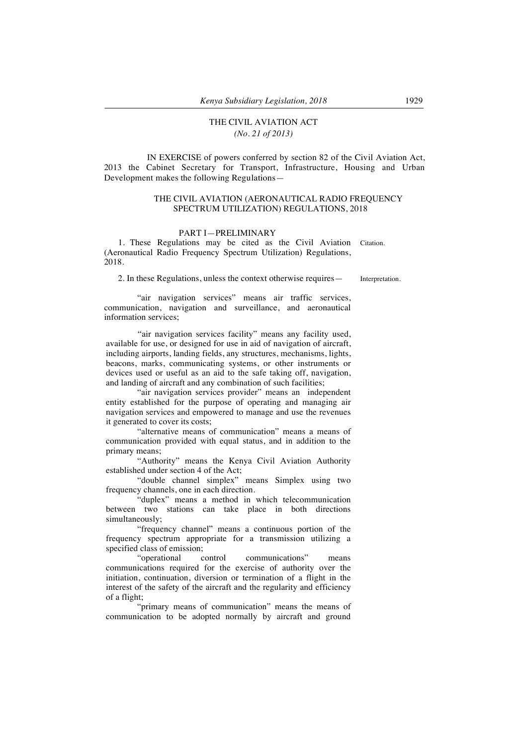# THE CIVIL AVIATION ACT *(No. 21 of 2013)*

 IN EXERCISE of powers conferred by section 82 of the Civil Aviation Act, 2013 the Cabinet Secretary for Transport, Infrastructure, Housing and Urban Development makes the following Regulations—

## THE CIVIL AVIATION (AERONAUTICAL RADIO FREQUENCY SPECTRUM UTILIZATION) REGULATIONS, 2018

#### PART I—PRELIMINARY

1. These Regulations may be cited as the Civil Aviation Citation. (Aeronautical Radio Frequency Spectrum Utilization) Regulations, 2018.

2. In these Regulations, unless the context otherwise requires — Interpretation.

"air navigation services" means air traffic services, communication, navigation and surveillance, and aeronautical information services;

"air navigation services facility" means any facility used, available for use, or designed for use in aid of navigation of aircraft, including airports, landing fields, any structures, mechanisms, lights, beacons, marks, communicating systems, or other instruments or devices used or useful as an aid to the safe taking off, navigation, and landing of aircraft and any combination of such facilities;

"air navigation services provider" means an independent entity established for the purpose of operating and managing air navigation services and empowered to manage and use the revenues it generated to cover its costs;

"alternative means of communication" means a means of communication provided with equal status, and in addition to the primary means;

"Authority" means the Kenya Civil Aviation Authority established under section 4 of the Act;

"double channel simplex" means Simplex using two frequency channels, one in each direction.

"duplex" means a method in which telecommunication between two stations can take place in both directions simultaneously;

"frequency channel" means a continuous portion of the frequency spectrum appropriate for a transmission utilizing a specified class of emission;<br>"operational control

communications" means communications required for the exercise of authority over the initiation, continuation, diversion or termination of a flight in the interest of the safety of the aircraft and the regularity and efficiency of a flight;

"primary means of communication" means the means of communication to be adopted normally by aircraft and ground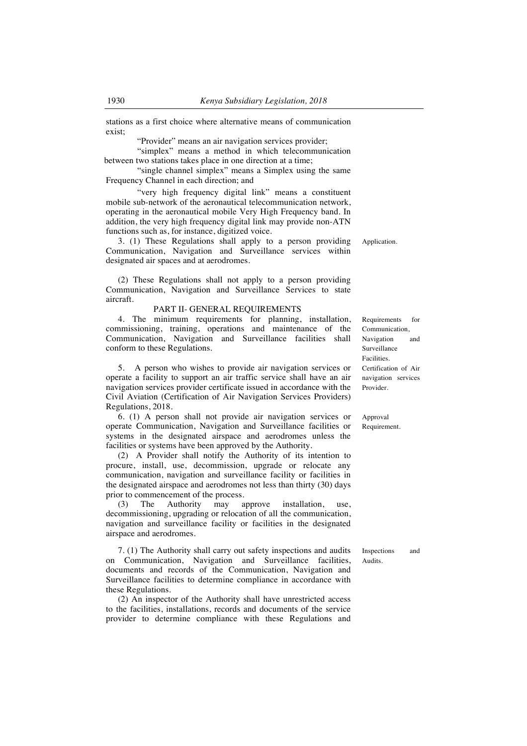stations as a first choice where alternative means of communication exist;

"Provider" means an air navigation services provider;

"simplex" means a method in which telecommunication between two stations takes place in one direction at a time;

"single channel simplex" means a Simplex using the same Frequency Channel in each direction; and

"very high frequency digital link" means a constituent mobile sub-network of the aeronautical telecommunication network, operating in the aeronautical mobile Very High Frequency band. In addition, the very high frequency digital link may provide non-ATN functions such as, for instance, digitized voice.

3. (1) These Regulations shall apply to a person providing Communication, Navigation and Surveillance services within designated air spaces and at aerodromes.

(2) These Regulations shall not apply to a person providing Communication, Navigation and Surveillance Services to state aircraft.

#### PART II- GENERAL REQUIREMENTS

4. The minimum requirements for planning, installation, commissioning, training, operations and maintenance of the Communication, Navigation and Surveillance facilities shall conform to these Regulations.

5. A person who wishes to provide air navigation services or operate a facility to support an air traffic service shall have an air navigation services provider certificate issued in accordance with the Civil Aviation (Certification of Air Navigation Services Providers) Regulations, 2018.

6. (1) A person shall not provide air navigation services or operate Communication, Navigation and Surveillance facilities or systems in the designated airspace and aerodromes unless the facilities or systems have been approved by the Authority.

(2) A Provider shall notify the Authority of its intention to procure, install, use, decommission, upgrade or relocate any communication, navigation and surveillance facility or facilities in the designated airspace and aerodromes not less than thirty (30) days prior to commencement of the process.

(3) The Authority may approve installation, use, decommissioning, upgrading or relocation of all the communication, navigation and surveillance facility or facilities in the designated airspace and aerodromes.

7. (1) The Authority shall carry out safety inspections and audits on Communication, Navigation and Surveillance facilities, documents and records of the Communication, Navigation and Surveillance facilities to determine compliance in accordance with these Regulations.

(2) An inspector of the Authority shall have unrestricted access to the facilities, installations, records and documents of the service provider to determine compliance with these Regulations and

Requirements for Communication, Navigation and Surveillance Facilities. Certification of Air navigation services Provider.

Approval Requirement.

Inspections and Audits.

Application.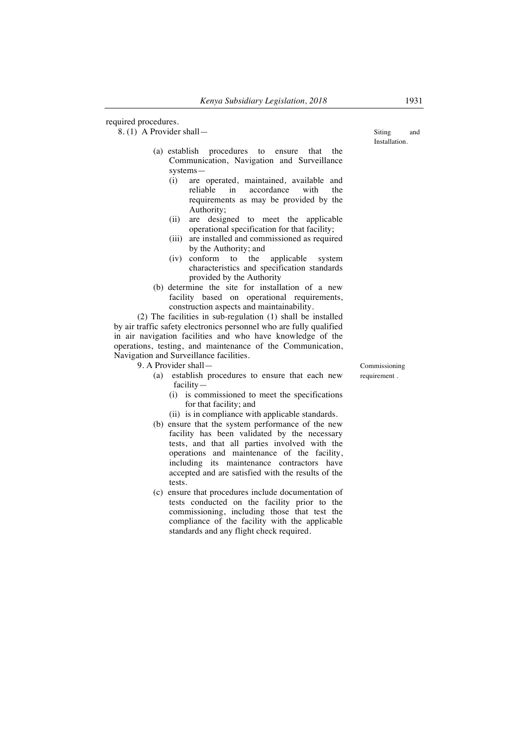required procedures.

8. (1) A Provider shall—

- (a) establish procedures to ensure that the Communication, Navigation and Surveillance systems—
	- (i) are operated, maintained, available and reliable in accordance with the requirements as may be provided by the Authority;
	- (ii) are designed to meet the applicable operational specification for that facility;
	- (iii) are installed and commissioned as required by the Authority; and
	- (iv) conform to the applicable system characteristics and specification standards provided by the Authority
- (b) determine the site for installation of a new facility based on operational requirements, construction aspects and maintainability.

(2) The facilities in sub-regulation (1) shall be installed by air traffic safety electronics personnel who are fully qualified in air navigation facilities and who have knowledge of the operations, testing, and maintenance of the Communication, Navigation and Surveillance facilities.

9. A Provider shall—

- (a) establish procedures to ensure that each new facility—
	- (i) is commissioned to meet the specifications for that facility; and
	- (ii) is in compliance with applicable standards.
- (b) ensure that the system performance of the new facility has been validated by the necessary tests, and that all parties involved with the operations and maintenance of the facility, including its maintenance contractors have accepted and are satisfied with the results of the tests.
- (c) ensure that procedures include documentation of tests conducted on the facility prior to the commissioning, including those that test the compliance of the facility with the applicable standards and any flight check required.

Siting and Installation.

Commissioning requirement .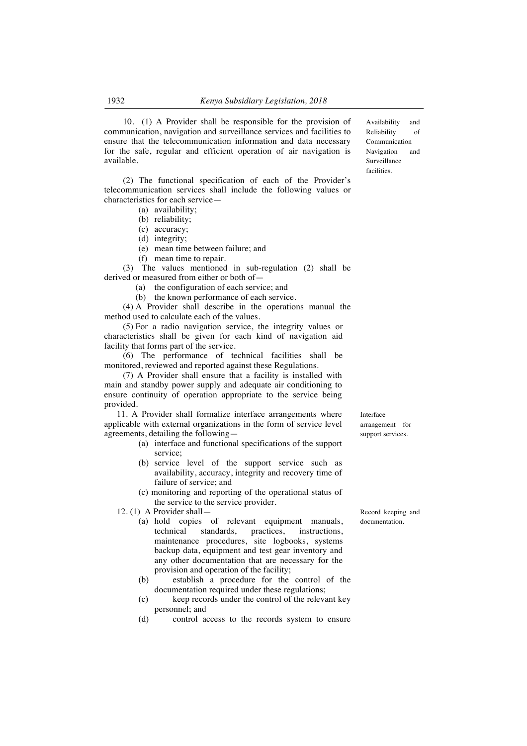10. (1) A Provider shall be responsible for the provision of communication, navigation and surveillance services and facilities to ensure that the telecommunication information and data necessary for the safe, regular and efficient operation of air navigation is available.

(2) The functional specification of each of the Provider's telecommunication services shall include the following values or characteristics for each service—

- (a) availability;
- (b) reliability;
- (c) accuracy;
- (d) integrity;
- (e) mean time between failure; and
- (f) mean time to repair.

(3) The values mentioned in sub-regulation (2) shall be derived or measured from either or both of—

(a) the configuration of each service; and

(b) the known performance of each service.

(4) A Provider shall describe in the operations manual the method used to calculate each of the values.

(5) For a radio navigation service, the integrity values or characteristics shall be given for each kind of navigation aid facility that forms part of the service.

(6) The performance of technical facilities shall be monitored, reviewed and reported against these Regulations.

(7) A Provider shall ensure that a facility is installed with main and standby power supply and adequate air conditioning to ensure continuity of operation appropriate to the service being provided.

11. A Provider shall formalize interface arrangements where applicable with external organizations in the form of service level agreements, detailing the following—

- (a) interface and functional specifications of the support service;
- (b) service level of the support service such as availability, accuracy, integrity and recovery time of failure of service; and
- (c) monitoring and reporting of the operational status of the service to the service provider.
- 12. (1) A Provider shall—
	- (a) hold copies of relevant equipment manuals, technical standards, practices, instructions, maintenance procedures, site logbooks, systems backup data, equipment and test gear inventory and any other documentation that are necessary for the provision and operation of the facility;
	- (b) establish a procedure for the control of the documentation required under these regulations;
	- (c) keep records under the control of the relevant key personnel; and
	- (d) control access to the records system to ensure

Record keeping and documentation.

Interface arrangement for

support services.

Availability and Reliability of Communication Navigation and Surveillance facilities.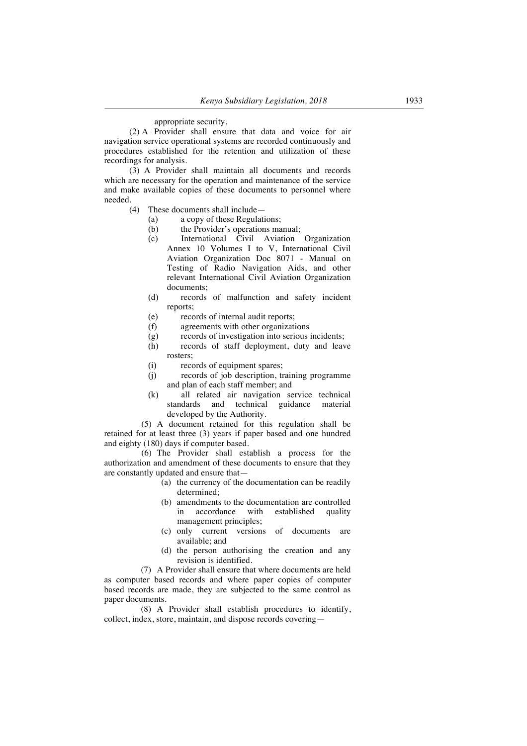#### appropriate security.

(2) A Provider shall ensure that data and voice for air navigation service operational systems are recorded continuously and procedures established for the retention and utilization of these recordings for analysis.

(3) A Provider shall maintain all documents and records which are necessary for the operation and maintenance of the service and make available copies of these documents to personnel where needed.

- (4) These documents shall include—<br>(a)  $\alpha$  a copy of these Regulation
	- a copy of these Regulations;
	- (b) the Provider's operations manual;
	- (c) International Civil Aviation Organization Annex 10 Volumes I to V, International Civil Aviation Organization Doc 8071 - Manual on Testing of Radio Navigation Aids, and other relevant International Civil Aviation Organization documents;
	- (d) records of malfunction and safety incident reports;
	- (e) records of internal audit reports;<br>(f) agreements with other organizati
	- (f) agreements with other organizations  $(g)$  records of investigation into serious i
	- records of investigation into serious incidents:
	- (h) records of staff deployment, duty and leave rosters;
	- (i) records of equipment spares;
	- (j) records of job description, training programme and plan of each staff member; and
	- (k) all related air navigation service technical standards and technical guidance material developed by the Authority.

(5) A document retained for this regulation shall be retained for at least three (3) years if paper based and one hundred and eighty (180) days if computer based.

(6) The Provider shall establish a process for the authorization and amendment of these documents to ensure that they are constantly updated and ensure that—

- (a) the currency of the documentation can be readily determined;
- (b) amendments to the documentation are controlled in accordance with established quality management principles;
- (c) only current versions of documents are available; and
- (d) the person authorising the creation and any revision is identified.

(7) A Provider shall ensure that where documents are held as computer based records and where paper copies of computer based records are made, they are subjected to the same control as paper documents.

(8) A Provider shall establish procedures to identify, collect, index, store, maintain, and dispose records covering—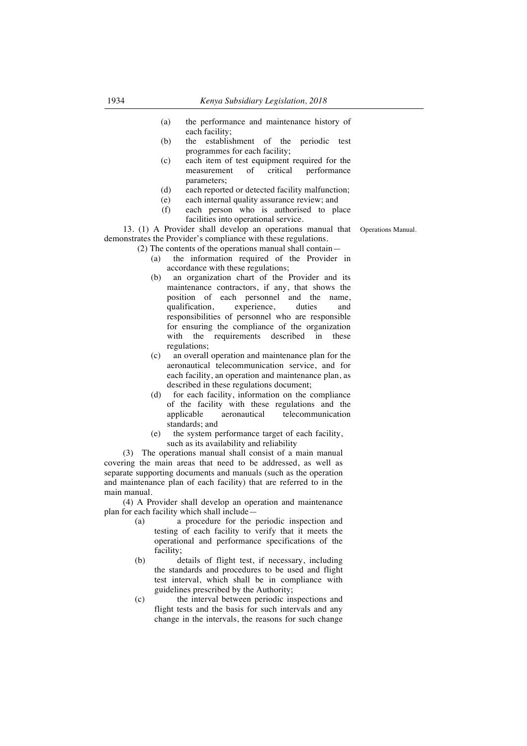- (a) the performance and maintenance history of each facility;
- (b) the establishment of the periodic test programmes for each facility;
- (c) each item of test equipment required for the measurement of critical performance parameters;
- (d) each reported or detected facility malfunction;
- (e) each internal quality assurance review; and
- (f) each person who is authorised to place facilities into operational service.

13. (1) A Provider shall develop an operations manual that Operations Manual. demonstrates the Provider's compliance with these regulations.

- (2) The contents of the operations manual shall contain—
	- (a) the information required of the Provider in accordance with these regulations;<br>(b) an organization chart of the I
	- an organization chart of the Provider and its maintenance contractors, if any, that shows the position of each personnel and the name, qualification, experience, duties and responsibilities of personnel who are responsible for ensuring the compliance of the organization with the requirements described in these regulations;
	- (c) an overall operation and maintenance plan for the aeronautical telecommunication service, and for each facility, an operation and maintenance plan, as described in these regulations document;
	- (d) for each facility, information on the compliance of the facility with these regulations and the applicable aeronautical telecommunication standards; and
	- (e) the system performance target of each facility, such as its availability and reliability

(3) The operations manual shall consist of a main manual covering the main areas that need to be addressed, as well as separate supporting documents and manuals (such as the operation and maintenance plan of each facility) that are referred to in the main manual.

(4) A Provider shall develop an operation and maintenance plan for each facility which shall include—

- (a) a procedure for the periodic inspection and testing of each facility to verify that it meets the operational and performance specifications of the facility;
- (b) details of flight test, if necessary, including the standards and procedures to be used and flight test interval, which shall be in compliance with guidelines prescribed by the Authority;
- (c) the interval between periodic inspections and flight tests and the basis for such intervals and any change in the intervals, the reasons for such change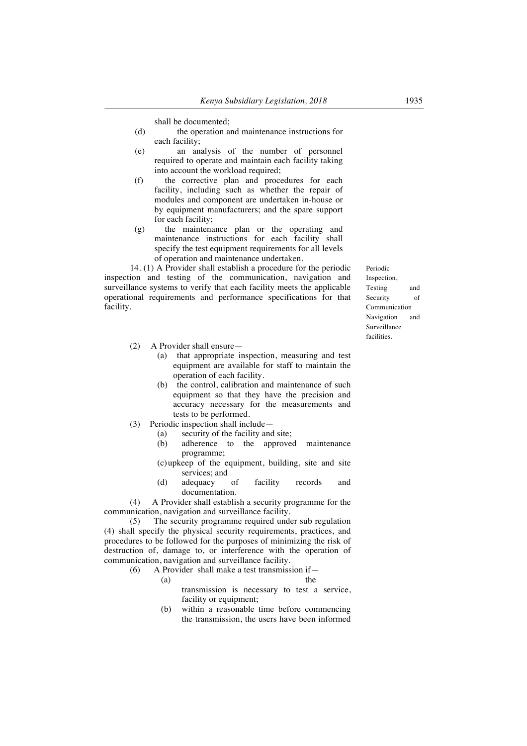shall be documented;

- (d) the operation and maintenance instructions for each facility;
- (e) an analysis of the number of personnel required to operate and maintain each facility taking into account the workload required;
- (f) the corrective plan and procedures for each facility, including such as whether the repair of modules and component are undertaken in-house or by equipment manufacturers; and the spare support for each facility;
- (g) the maintenance plan or the operating and maintenance instructions for each facility shall specify the test equipment requirements for all levels of operation and maintenance undertaken.

14. (1) A Provider shall establish a procedure for the periodic inspection and testing of the communication, navigation and surveillance systems to verify that each facility meets the applicable operational requirements and performance specifications for that facility.

- (2) A Provider shall ensure—
	- (a) that appropriate inspection, measuring and test equipment are available for staff to maintain the operation of each facility.
	- (b) the control, calibration and maintenance of such equipment so that they have the precision and accuracy necessary for the measurements and tests to be performed.
- (3) Periodic inspection shall include—
	- (a) security of the facility and site;
	- (b) adherence to the approved maintenance programme;
	- (c)upkeep of the equipment, building, site and site services; and
	- (d) adequacy of facility records and documentation.

(4) A Provider shall establish a security programme for the communication, navigation and surveillance facility.

(5) The security programme required under sub regulation (4) shall specify the physical security requirements, practices, and procedures to be followed for the purposes of minimizing the risk of destruction of, damage to, or interference with the operation of communication, navigation and surveillance facility.<br>(6) A Provider shall make a test transmiss

(6) A Provider shall make a test transmission if—

- (a) the transmission is necessary to test a service, facility or equipment;
- (b) within a reasonable time before commencing the transmission, the users have been informed

Periodic Inspection, Testing and Security of Communication Navigation and Surveillance facilities.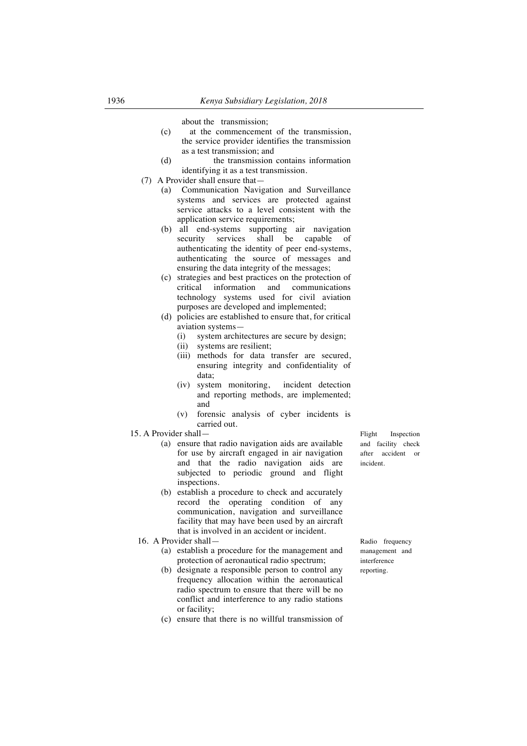about the transmission;

- (c) at the commencement of the transmission, the service provider identifies the transmission as a test transmission; and
- (d) the transmission contains information identifying it as a test transmission.
- (7) A Provider shall ensure that—
	- (a) Communication Navigation and Surveillance systems and services are protected against service attacks to a level consistent with the application service requirements;
	- (b) all end-systems supporting air navigation security services shall be capable of authenticating the identity of peer end-systems, authenticating the source of messages and ensuring the data integrity of the messages;
	- (c) strategies and best practices on the protection of critical information and communications technology systems used for civil aviation purposes are developed and implemented;
	- (d) policies are established to ensure that, for critical aviation systems—
		- (i) system architectures are secure by design;
		- (ii) systems are resilient;
		- (iii) methods for data transfer are secured, ensuring integrity and confidentiality of data;
		- (iv) system monitoring, incident detection and reporting methods, are implemented; and
		- (v) forensic analysis of cyber incidents is carried out.
- 15. A Provider shall—
	- (a) ensure that radio navigation aids are available for use by aircraft engaged in air navigation and that the radio navigation aids are subjected to periodic ground and flight inspections.
	- (b) establish a procedure to check and accurately record the operating condition of any communication, navigation and surveillance facility that may have been used by an aircraft that is involved in an accident or incident.
	- 16. A Provider shall—
		- (a) establish a procedure for the management and protection of aeronautical radio spectrum;
		- (b) designate a responsible person to control any frequency allocation within the aeronautical radio spectrum to ensure that there will be no conflict and interference to any radio stations or facility;
		- (c) ensure that there is no willful transmission of

Flight Inspection and facility check after accident or incident.

Radio frequency management and interference reporting.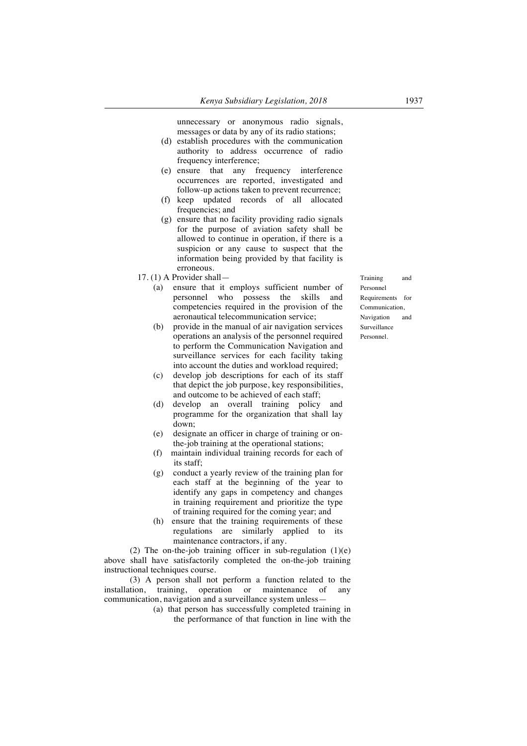unnecessary or anonymous radio signals, messages or data by any of its radio stations;

- (d) establish procedures with the communication authority to address occurrence of radio frequency interference;
- (e) ensure that any frequency interference occurrences are reported, investigated and follow-up actions taken to prevent recurrence;
- (f) keep updated records of all allocated frequencies; and
- (g) ensure that no facility providing radio signals for the purpose of aviation safety shall be allowed to continue in operation, if there is a suspicion or any cause to suspect that the information being provided by that facility is erroneous.
- 17. (1) A Provider shall—
	- (a) ensure that it employs sufficient number of personnel who possess the skills and competencies required in the provision of the aeronautical telecommunication service;
	- (b) provide in the manual of air navigation services operations an analysis of the personnel required to perform the Communication Navigation and surveillance services for each facility taking into account the duties and workload required;
	- (c) develop job descriptions for each of its staff that depict the job purpose, key responsibilities, and outcome to be achieved of each staff;
	- (d) develop an overall training policy and programme for the organization that shall lay down;
	- (e) designate an officer in charge of training or onthe-job training at the operational stations;
	- (f) maintain individual training records for each of its staff;
	- (g) conduct a yearly review of the training plan for each staff at the beginning of the year to identify any gaps in competency and changes in training requirement and prioritize the type of training required for the coming year; and
	- (h) ensure that the training requirements of these regulations are similarly applied to its maintenance contractors, if any.

(2) The on-the-job training officer in sub-regulation  $(1)(e)$ above shall have satisfactorily completed the on-the-job training instructional techniques course.

(3) A person shall not perform a function related to the installation, training, operation or maintenance of any communication, navigation and a surveillance system unless—

> (a) that person has successfully completed training in the performance of that function in line with the

Training and Personnel Requirements for Communication, Navigation and Surveillance Personnel.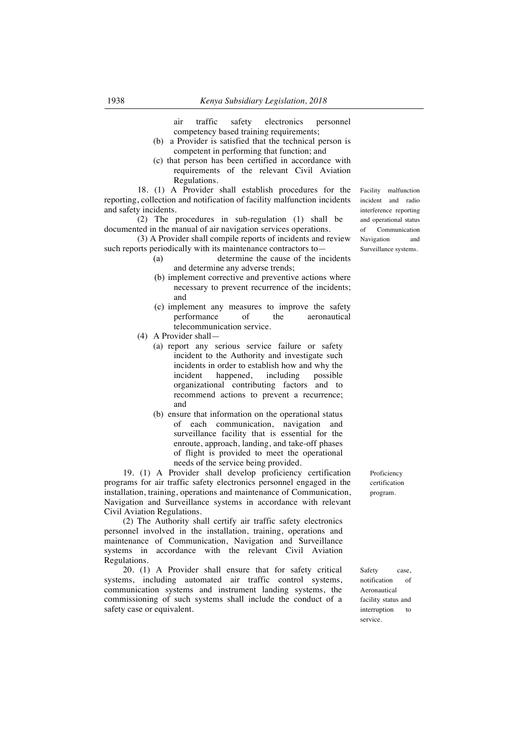air traffic safety electronics personnel competency based training requirements;

- (b) a Provider is satisfied that the technical person is competent in performing that function; and
- (c) that person has been certified in accordance with requirements of the relevant Civil Aviation Regulations.

18. (1) A Provider shall establish procedures for the reporting, collection and notification of facility malfunction incidents and safety incidents.

 $(2)$  The procedures in sub-regulation (1) shall be documented in the manual of air navigation services operations.

(3) A Provider shall compile reports of incidents and review such reports periodically with its maintenance contractors to—

- (a) determine the cause of the incidents and determine any adverse trends;
- (b) implement corrective and preventive actions where necessary to prevent recurrence of the incidents; and
- (c) implement any measures to improve the safety performance of the telecommunication service.
- (4) A Provider shall—
	- (a) report any serious service failure or safety incident to the Authority and investigate such incidents in order to establish how and why the incident happened, including possible organizational contributing factors and to recommend actions to prevent a recurrence; and
	- (b) ensure that information on the operational status of each communication, navigation and surveillance facility that is essential for the enroute, approach, landing, and take-off phases of flight is provided to meet the operational needs of the service being provided.

19. (1) A Provider shall develop proficiency certification programs for air traffic safety electronics personnel engaged in the installation, training, operations and maintenance of Communication, Navigation and Surveillance systems in accordance with relevant Civil Aviation Regulations.

(2) The Authority shall certify air traffic safety electronics personnel involved in the installation, training, operations and maintenance of Communication, Navigation and Surveillance systems in accordance with the relevant Civil Aviation Regulations.

20. (1) A Provider shall ensure that for safety critical systems, including automated air traffic control systems, communication systems and instrument landing systems, the commissioning of such systems shall include the conduct of a safety case or equivalent.

Proficiency certification program.

Safety case, notification of Aeronautical facility status and interruption to service.

Facility malfunction incident and radio interference reporting and operational status of Communication Navigation and Surveillance systems.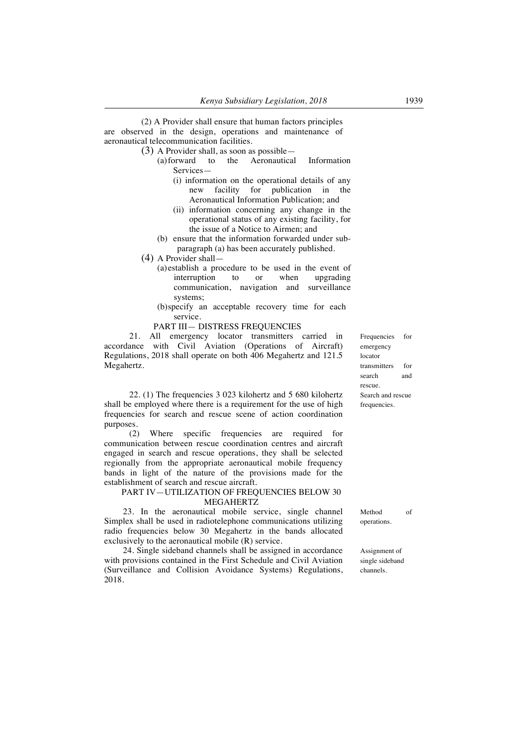(2) A Provider shall ensure that human factors principles are observed in the design, operations and maintenance of aeronautical telecommunication facilities.

- (3) A Provider shall, as soon as possible—
	- (a)forward to the Aeronautical Information Services—
		- (i) information on the operational details of any new facility for publication in the Aeronautical Information Publication; and
		- (ii) information concerning any change in the operational status of any existing facility, for the issue of a Notice to Airmen; and
	- (b) ensure that the information forwarded under subparagraph (a) has been accurately published.
- (4) A Provider shall—
	- (a)establish a procedure to be used in the event of interruption to or when upgrading communication, navigation and surveillance systems;
	- (b)specify an acceptable recovery time for each service.

#### PART III— DISTRESS FREQUENCIES

21. All emergency locator transmitters carried in accordance with Civil Aviation (Operations of Aircraft) Regulations, 2018 shall operate on both 406 Megahertz and 121.5 Megahertz.

22. (1) The frequencies 3 023 kilohertz and 5 680 kilohertz shall be employed where there is a requirement for the use of high frequencies for search and rescue scene of action coordination purposes.

(2) Where specific frequencies are required for communication between rescue coordination centres and aircraft engaged in search and rescue operations, they shall be selected regionally from the appropriate aeronautical mobile frequency bands in light of the nature of the provisions made for the establishment of search and rescue aircraft.

#### PART IV—UTILIZATION OF FREQUENCIES BELOW 30 MEGAHERTZ

23. In the aeronautical mobile service, single channel Simplex shall be used in radiotelephone communications utilizing radio frequencies below 30 Megahertz in the bands allocated exclusively to the aeronautical mobile (R) service.

24. Single sideband channels shall be assigned in accordance with provisions contained in the First Schedule and Civil Aviation (Surveillance and Collision Avoidance Systems) Regulations, 2018.

Frequencies for emergency locator transmitters for search and rescue. Search and rescue frequencies.

Method of operations.

Assignment of single sideband channels.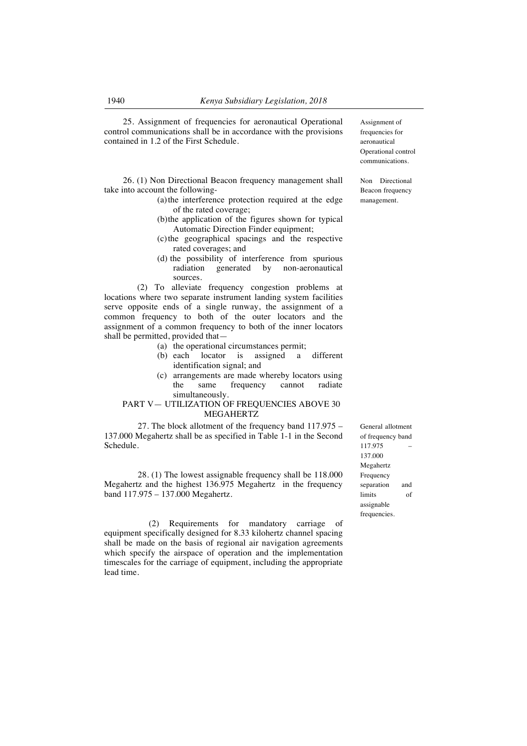25. Assignment of frequencies for aeronautical Operational control communications shall be in accordance with the provisions contained in 1.2 of the First Schedule.

26. (1) Non Directional Beacon frequency management shall take into account the following-

- (a)the interference protection required at the edge of the rated coverage;
- (b)the application of the figures shown for typical Automatic Direction Finder equipment;
- (c)the geographical spacings and the respective rated coverages; and
- (d) the possibility of interference from spurious radiation generated by non-aeronautical sources.

(2) To alleviate frequency congestion problems at locations where two separate instrument landing system facilities serve opposite ends of a single runway, the assignment of a common frequency to both of the outer locators and the assignment of a common frequency to both of the inner locators shall be permitted, provided that-

- (a) the operational circumstances permit;
- (b) each locator is assigned a different identification signal; and
- (c) arrangements are made whereby locators using the same frequency cannot radiate simultaneously.

## PART V— UTILIZATION OF FREQUENCIES ABOVE 30 MEGAHERTZ

27. The block allotment of the frequency band 117.975 – 137.000 Megahertz shall be as specified in Table 1-1 in the Second Schedule.

28. (1) The lowest assignable frequency shall be 118.000 Megahertz and the highest 136.975 Megahertz in the frequency band 117.975 – 137.000 Megahertz.

 (2) Requirements for mandatory carriage of equipment specifically designed for 8.33 kilohertz channel spacing shall be made on the basis of regional air navigation agreements which specify the airspace of operation and the implementation timescales for the carriage of equipment, including the appropriate lead time.

Assignment of frequencies for aeronautical Operational control communications.

Non Directional Beacon frequency management.

General allotment of frequency band 117.975 – 137.000 Megahertz Frequency separation and limits of assignable frequencies.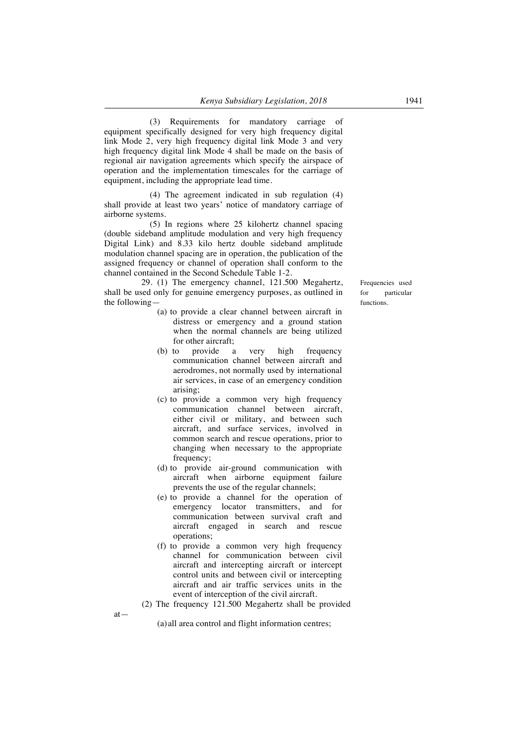(3) Requirements for mandatory carriage of equipment specifically designed for very high frequency digital link Mode 2, very high frequency digital link Mode 3 and very high frequency digital link Mode 4 shall be made on the basis of regional air navigation agreements which specify the airspace of operation and the implementation timescales for the carriage of equipment, including the appropriate lead time.

(4) The agreement indicated in sub regulation (4) shall provide at least two years' notice of mandatory carriage of airborne systems.

(5) In regions where 25 kilohertz channel spacing (double sideband amplitude modulation and very high frequency Digital Link) and 8.33 kilo hertz double sideband amplitude modulation channel spacing are in operation, the publication of the assigned frequency or channel of operation shall conform to the channel contained in the Second Schedule Table 1-2.

29. (1) The emergency channel, 121.500 Megahertz, shall be used only for genuine emergency purposes, as outlined in the following—

- (a) to provide a clear channel between aircraft in distress or emergency and a ground station when the normal channels are being utilized for other aircraft;
- (b) to provide a very high frequency communication channel between aircraft and aerodromes, not normally used by international air services, in case of an emergency condition arising;
- (c) to provide a common very high frequency communication channel between aircraft, either civil or military, and between such aircraft, and surface services, involved in common search and rescue operations, prior to changing when necessary to the appropriate frequency;
- (d) to provide air-ground communication with aircraft when airborne equipment failure prevents the use of the regular channels;
- (e) to provide a channel for the operation of emergency locator transmitters, and for communication between survival craft and aircraft engaged in search and rescue operations;
- (f) to provide a common very high frequency channel for communication between civil aircraft and intercepting aircraft or intercept control units and between civil or intercepting aircraft and air traffic services units in the event of interception of the civil aircraft.
- (2) The frequency 121.500 Megahertz shall be provided

at—

(a)all area control and flight information centres;

Frequencies used for particular functions.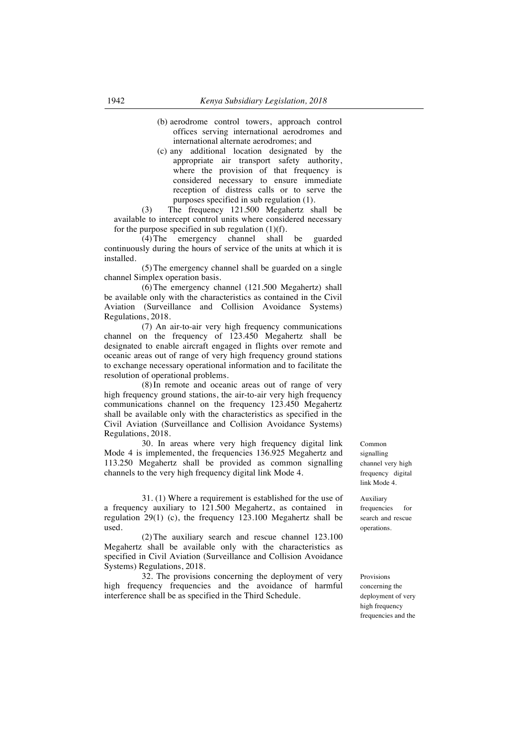- (b) aerodrome control towers, approach control offices serving international aerodromes and international alternate aerodromes; and
- (c) any additional location designated by the appropriate air transport safety authority, where the provision of that frequency is considered necessary to ensure immediate reception of distress calls or to serve the purposes specified in sub regulation (1).

(3) The frequency 121.500 Megahertz shall be available to intercept control units where considered necessary for the purpose specified in sub regulation  $(1)(f)$ .

(4)The emergency channel shall be guarded continuously during the hours of service of the units at which it is installed.

(5)The emergency channel shall be guarded on a single channel Simplex operation basis.

(6)The emergency channel (121.500 Megahertz) shall be available only with the characteristics as contained in the Civil Aviation (Surveillance and Collision Avoidance Systems) Regulations, 2018.

(7) An air-to-air very high frequency communications channel on the frequency of 123.450 Megahertz shall be designated to enable aircraft engaged in flights over remote and oceanic areas out of range of very high frequency ground stations to exchange necessary operational information and to facilitate the resolution of operational problems.

(8)In remote and oceanic areas out of range of very high frequency ground stations, the air-to-air very high frequency communications channel on the frequency 123.450 Megahertz shall be available only with the characteristics as specified in the Civil Aviation (Surveillance and Collision Avoidance Systems) Regulations, 2018.

30. In areas where very high frequency digital link Mode 4 is implemented, the frequencies 136.925 Megahertz and 113.250 Megahertz shall be provided as common signalling channels to the very high frequency digital link Mode 4.

31. (1) Where a requirement is established for the use of a frequency auxiliary to 121.500 Megahertz, as contained in regulation 29(1) (c), the frequency 123.100 Megahertz shall be used.

(2)The auxiliary search and rescue channel 123.100 Megahertz shall be available only with the characteristics as specified in Civil Aviation (Surveillance and Collision Avoidance Systems) Regulations, 2018.

32. The provisions concerning the deployment of very high frequency frequencies and the avoidance of harmful interference shall be as specified in the Third Schedule.

Common signalling channel very high frequency digital link Mode 4.

Auxiliary frequencies for search and rescue operations.

Provisions concerning the deployment of very high frequency frequencies and the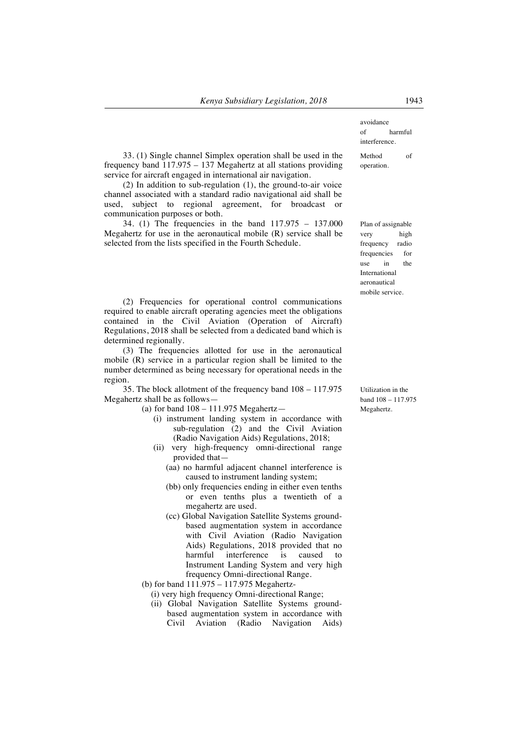33. (1) Single channel Simplex operation shall be used in the frequency band 117.975 – 137 Megahertz at all stations providing service for aircraft engaged in international air navigation.

(2) In addition to sub-regulation (1), the ground-to-air voice channel associated with a standard radio navigational aid shall be used, subject to regional agreement, for broadcast or communication purposes or both.

34. (1) The frequencies in the band 117.975 – 137.000 Megahertz for use in the aeronautical mobile (R) service shall be selected from the lists specified in the Fourth Schedule.

(2) Frequencies for operational control communications required to enable aircraft operating agencies meet the obligations contained in the Civil Aviation (Operation of Aircraft) Regulations, 2018 shall be selected from a dedicated band which is determined regionally.

(3) The frequencies allotted for use in the aeronautical mobile (R) service in a particular region shall be limited to the number determined as being necessary for operational needs in the region.

35. The block allotment of the frequency band 108 – 117.975 Megahertz shall be as follows—

(a) for band 108 – 111.975 Megahertz—

- (i) instrument landing system in accordance with sub-regulation (2) and the Civil Aviation (Radio Navigation Aids) Regulations, 2018;
- (ii) very high-frequency omni-directional range provided that—
	- (aa) no harmful adjacent channel interference is caused to instrument landing system;
	- (bb) only frequencies ending in either even tenths or even tenths plus a twentieth of a megahertz are used.
	- (cc) Global Navigation Satellite Systems groundbased augmentation system in accordance with Civil Aviation (Radio Navigation Aids) Regulations, 2018 provided that no harmful interference is caused to Instrument Landing System and very high frequency Omni-directional Range.
- (b) for band 111.975 117.975 Megahertz-
	- (i) very high frequency Omni-directional Range;
	- (ii) Global Navigation Satellite Systems groundbased augmentation system in accordance with Civil Aviation (Radio Navigation Aids)

avoidance of harmful interference.

Method of operation.

Plan of assignable very high frequency radio frequencies for use in the International aeronautical mobile service.

Utilization in the band 108 – 117.975 Megahertz.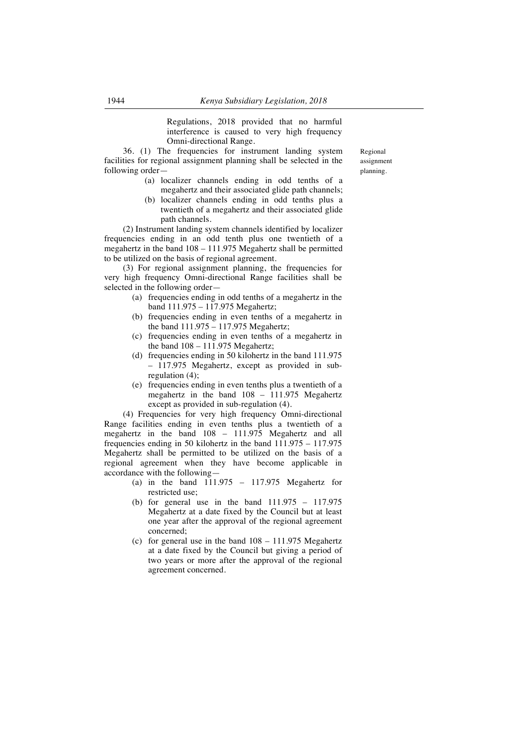Regulations, 2018 provided that no harmful interference is caused to very high frequency Omni-directional Range.

36. (1) The frequencies for instrument landing system facilities for regional assignment planning shall be selected in the following order—

- (a) localizer channels ending in odd tenths of a megahertz and their associated glide path channels;
- (b) localizer channels ending in odd tenths plus a twentieth of a megahertz and their associated glide path channels.

(2) Instrument landing system channels identified by localizer frequencies ending in an odd tenth plus one twentieth of a megahertz in the band 108 – 111.975 Megahertz shall be permitted to be utilized on the basis of regional agreement.

(3) For regional assignment planning, the frequencies for very high frequency Omni-directional Range facilities shall be selected in the following order—

- (a) frequencies ending in odd tenths of a megahertz in the band 111.975 – 117.975 Megahertz;
- (b) frequencies ending in even tenths of a megahertz in the band 111.975 – 117.975 Megahertz;
- (c) frequencies ending in even tenths of a megahertz in the band  $108 - 111.975$  Megahertz:
- (d) frequencies ending in 50 kilohertz in the band 111.975 – 117.975 Megahertz, except as provided in subregulation (4);
- (e) frequencies ending in even tenths plus a twentieth of a megahertz in the band 108 – 111.975 Megahertz except as provided in sub-regulation (4).

(4) Frequencies for very high frequency Omni-directional Range facilities ending in even tenths plus a twentieth of a megahertz in the band 108 – 111.975 Megahertz and all frequencies ending in 50 kilohertz in the band  $111.975 - 117.975$ Megahertz shall be permitted to be utilized on the basis of a regional agreement when they have become applicable in accordance with the following—

- (a) in the band  $111.975 117.975$  Megahertz for restricted use;
- (b) for general use in the band  $111.975 117.975$ Megahertz at a date fixed by the Council but at least one year after the approval of the regional agreement concerned;
- (c) for general use in the band  $108 111.975$  Megahertz at a date fixed by the Council but giving a period of two years or more after the approval of the regional agreement concerned.

Regional assignment planning.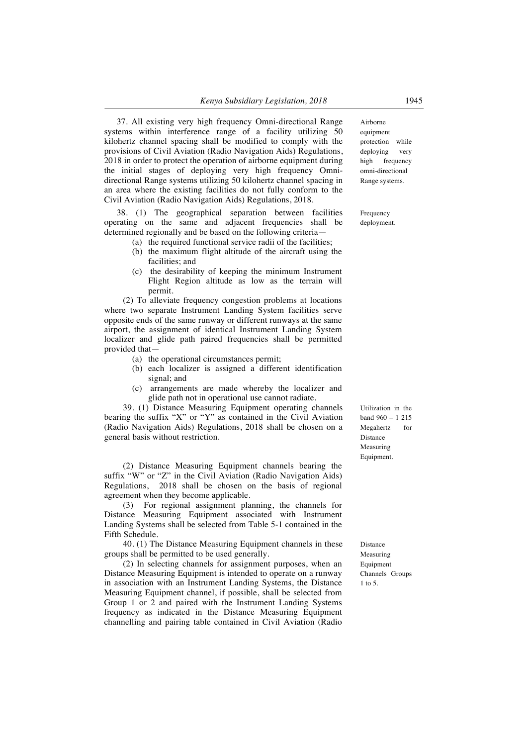37. All existing very high frequency Omni-directional Range systems within interference range of a facility utilizing 50 kilohertz channel spacing shall be modified to comply with the provisions of Civil Aviation (Radio Navigation Aids) Regulations, 2018 in order to protect the operation of airborne equipment during the initial stages of deploying very high frequency Omnidirectional Range systems utilizing 50 kilohertz channel spacing in an area where the existing facilities do not fully conform to the Civil Aviation (Radio Navigation Aids) Regulations, 2018.

38. (1) The geographical separation between facilities operating on the same and adjacent frequencies shall be determined regionally and be based on the following criteria—

- (a) the required functional service radii of the facilities;
- (b) the maximum flight altitude of the aircraft using the facilities; and
- (c) the desirability of keeping the minimum Instrument Flight Region altitude as low as the terrain will permit.

(2) To alleviate frequency congestion problems at locations where two separate Instrument Landing System facilities serve opposite ends of the same runway or different runways at the same airport, the assignment of identical Instrument Landing System localizer and glide path paired frequencies shall be permitted provided that—

- (a) the operational circumstances permit;
- (b) each localizer is assigned a different identification signal; and
- (c) arrangements are made whereby the localizer and glide path not in operational use cannot radiate.

39. (1) Distance Measuring Equipment operating channels bearing the suffix "X" or "Y" as contained in the Civil Aviation (Radio Navigation Aids) Regulations, 2018 shall be chosen on a general basis without restriction.

(2) Distance Measuring Equipment channels bearing the suffix "W" or "Z" in the Civil Aviation (Radio Navigation Aids) Regulations, 2018 shall be chosen on the basis of regional agreement when they become applicable.

(3) For regional assignment planning, the channels for Distance Measuring Equipment associated with Instrument Landing Systems shall be selected from Table 5-1 contained in the Fifth Schedule.

40. (1) The Distance Measuring Equipment channels in these groups shall be permitted to be used generally.

(2) In selecting channels for assignment purposes, when an Distance Measuring Equipment is intended to operate on a runway in association with an Instrument Landing Systems, the Distance Measuring Equipment channel, if possible, shall be selected from Group 1 or 2 and paired with the Instrument Landing Systems frequency as indicated in the Distance Measuring Equipment channelling and pairing table contained in Civil Aviation (Radio

Airborne equipment protection while deploying very high frequency omni-directional Range systems.

Frequency deployment.

Utilization in the band 960 – 1 215 Megahertz for Distance Measuring Equipment.

Distance Measuring Equipment Channels Groups 1 to 5.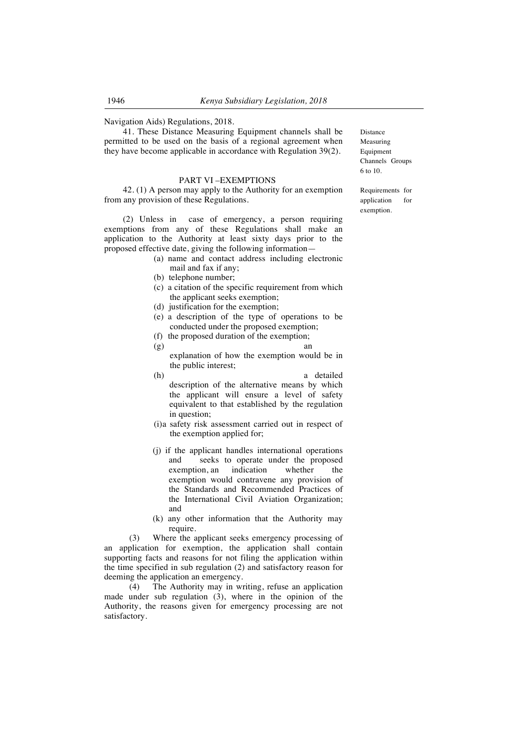Navigation Aids) Regulations, 2018.

41. These Distance Measuring Equipment channels shall be permitted to be used on the basis of a regional agreement when they have become applicable in accordance with Regulation 39(2).

### PART VI –EXEMPTIONS

42. (1) A person may apply to the Authority for an exemption from any provision of these Regulations.

(2) Unless in case of emergency, a person requiring exemptions from any of these Regulations shall make an application to the Authority at least sixty days prior to the proposed effective date, giving the following information—

- (a) name and contact address including electronic mail and fax if any;
- (b) telephone number;
- (c) a citation of the specific requirement from which the applicant seeks exemption;
- (d) justification for the exemption;
- (e) a description of the type of operations to be conducted under the proposed exemption;
- (f) the proposed duration of the exemption;
- $(g)$  an explanation of how the exemption would be in the public interest;
- (h) a detailed description of the alternative means by which the applicant will ensure a level of safety equivalent to that established by the regulation in question;
- (i)a safety risk assessment carried out in respect of the exemption applied for;
- (j) if the applicant handles international operations and seeks to operate under the proposed<br>exemption, an indication whether the exemption, an indication whether the exemption would contravene any provision of the Standards and Recommended Practices of the International Civil Aviation Organization; and
- (k) any other information that the Authority may require.

(3) Where the applicant seeks emergency processing of an application for exemption, the application shall contain supporting facts and reasons for not filing the application within the time specified in sub regulation (2) and satisfactory reason for deeming the application an emergency.

(4) The Authority may in writing, refuse an application made under sub regulation (3), where in the opinion of the Authority, the reasons given for emergency processing are not satisfactory.

Distance Measuring Equipment Channels Groups 6 to 10.

Requirements for application for exemption.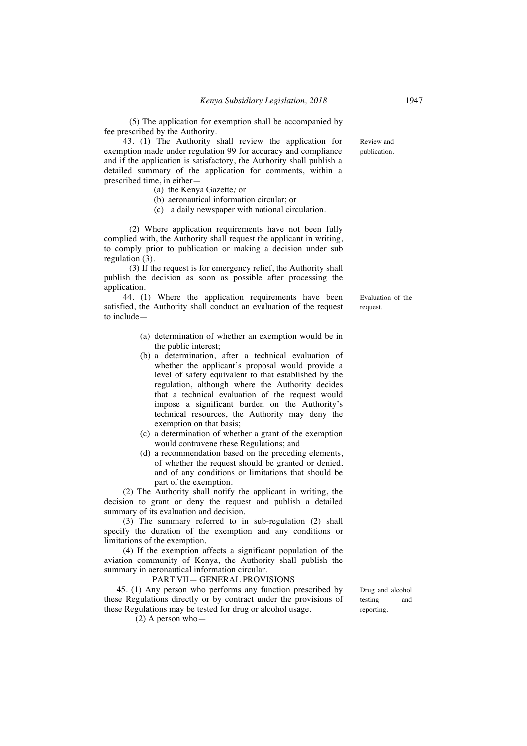(5) The application for exemption shall be accompanied by fee prescribed by the Authority.

43. (1) The Authority shall review the application for exemption made under regulation 99 for accuracy and compliance and if the application is satisfactory, the Authority shall publish a detailed summary of the application for comments, within a prescribed time, in either—

- (a) the Kenya Gazette*;* or
- (b) aeronautical information circular; or
- (c) a daily newspaper with national circulation.

(2) Where application requirements have not been fully complied with, the Authority shall request the applicant in writing, to comply prior to publication or making a decision under sub regulation (3).

(3) If the request is for emergency relief, the Authority shall publish the decision as soon as possible after processing the application.

44. (1) Where the application requirements have been satisfied, the Authority shall conduct an evaluation of the request to include—

- (a) determination of whether an exemption would be in the public interest;
- (b) a determination, after a technical evaluation of whether the applicant's proposal would provide a level of safety equivalent to that established by the regulation, although where the Authority decides that a technical evaluation of the request would impose a significant burden on the Authority's technical resources, the Authority may deny the exemption on that basis;
- (c) a determination of whether a grant of the exemption would contravene these Regulations; and
- (d) a recommendation based on the preceding elements, of whether the request should be granted or denied, and of any conditions or limitations that should be part of the exemption.

(2) The Authority shall notify the applicant in writing, the decision to grant or deny the request and publish a detailed summary of its evaluation and decision.

(3) The summary referred to in sub-regulation (2) shall specify the duration of the exemption and any conditions or limitations of the exemption.

(4) If the exemption affects a significant population of the aviation community of Kenya, the Authority shall publish the summary in aeronautical information circular.

#### PART VII— GENERAL PROVISIONS

45. (1) Any person who performs any function prescribed by these Regulations directly or by contract under the provisions of these Regulations may be tested for drug or alcohol usage.

(2) A person who—

Drug and alcohol testing and reporting.

Evaluation of the request.

Review and publication.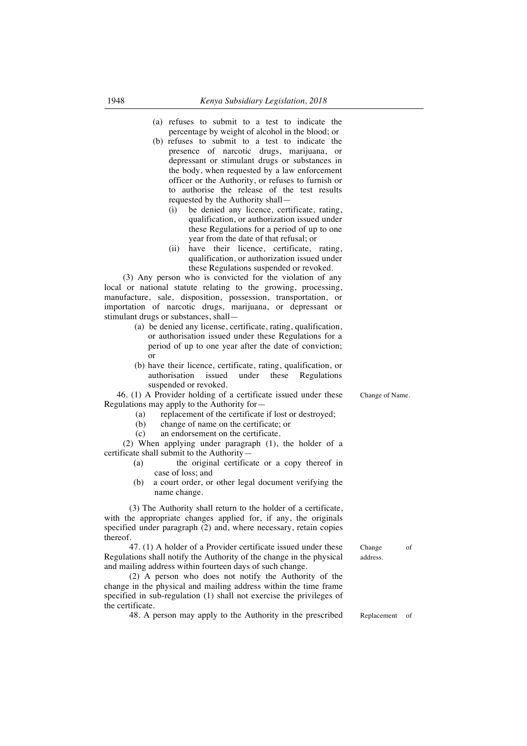- (a) refuses to submit to a test to indicate the percentage by weight of alcohol in the blood; or
- (b) refuses to submit to a test to indicate the presence of narcotic drugs, marijuana, or depressant or stimulant drugs or substances in the body, when requested by a law enforcement officer or the Authority, or refuses to furnish or to authorise the release of the test results requested by the Authority shall—
	- (i) be denied any licence, certificate, rating, qualification, or authorization issued under these Regulations for a period of up to one year from the date of that refusal; or
	- (ii) have their licence, certificate, rating, qualification, or authorization issued under these Regulations suspended or revoked.

(3) Any person who is convicted for the violation of any local or national statute relating to the growing, processing, manufacture, sale, disposition, possession, transportation, or importation of narcotic drugs, marijuana, or depressant or stimulant drugs or substances, shall—

- (a) be denied any license, certificate, rating, qualification, or authorisation issued under these Regulations for a period of up to one year after the date of conviction; or
- (b) have their licence, certificate, rating, qualification, or authorisation issued under these Regulations suspended or revoked.

46. (1) A Provider holding of a certificate issued under these Regulations may apply to the Authority for—

- (a) replacement of the certificate if lost or destroyed;<br>(b) change of name on the certificate: or
- change of name on the certificate; or
- (c) an endorsement on the certificate.

(2) When applying under paragraph (1), the holder of a certificate shall submit to the Authority—

- (a) the original certificate or a copy thereof in case of loss; and
- (b) a court order, or other legal document verifying the name change.

(3) The Authority shall return to the holder of a certificate, with the appropriate changes applied for, if any, the originals specified under paragraph (2) and, where necessary, retain copies thereof.

47. (1) A holder of a Provider certificate issued under these Regulations shall notify the Authority of the change in the physical and mailing address within fourteen days of such change.

(2) A person who does not notify the Authority of the change in the physical and mailing address within the time frame specified in sub-regulation (1) shall not exercise the privileges of the certificate.

48. A person may apply to the Authority in the prescribed Replacement of

Change of address.

Change of Name.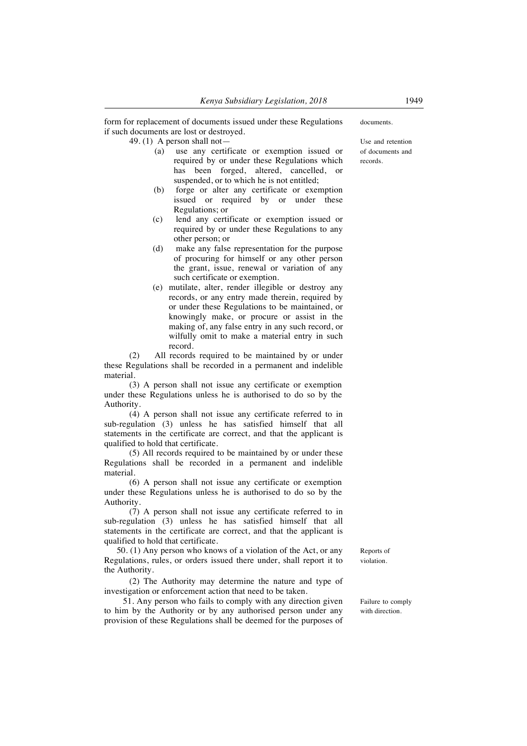form for replacement of documents issued under these Regulations if such documents are lost or destroyed.

49. (1) A person shall not—

- (a) use any certificate or exemption issued or required by or under these Regulations which has been forged, altered, cancelled, or suspended, or to which he is not entitled;
- (b) forge or alter any certificate or exemption issued or required by or under these Regulations; or
- (c) lend any certificate or exemption issued or required by or under these Regulations to any other person; or
- (d) make any false representation for the purpose of procuring for himself or any other person the grant, issue, renewal or variation of any such certificate or exemption.
- (e) mutilate, alter, render illegible or destroy any records, or any entry made therein, required by or under these Regulations to be maintained, or knowingly make, or procure or assist in the making of, any false entry in any such record, or wilfully omit to make a material entry in such record.

(2) All records required to be maintained by or under these Regulations shall be recorded in a permanent and indelible material.

(3) A person shall not issue any certificate or exemption under these Regulations unless he is authorised to do so by the Authority.

(4) A person shall not issue any certificate referred to in sub-regulation (3) unless he has satisfied himself that all statements in the certificate are correct, and that the applicant is qualified to hold that certificate.

(5) All records required to be maintained by or under these Regulations shall be recorded in a permanent and indelible material.

(6) A person shall not issue any certificate or exemption under these Regulations unless he is authorised to do so by the Authority.

 $(7)$  A person shall not issue any certificate referred to in sub-regulation (3) unless he has satisfied himself that all statements in the certificate are correct, and that the applicant is qualified to hold that certificate.

50. (1) Any person who knows of a violation of the Act, or any Regulations, rules, or orders issued there under, shall report it to the Authority.

(2) The Authority may determine the nature and type of investigation or enforcement action that need to be taken.

51. Any person who fails to comply with any direction given to him by the Authority or by any authorised person under any provision of these Regulations shall be deemed for the purposes of documents.

Use and retention of documents and records.

Reports of violation.

Failure to comply with direction.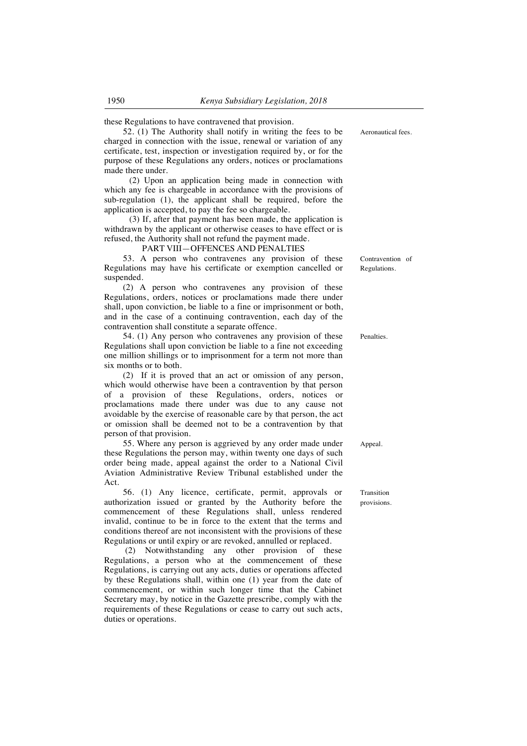these Regulations to have contravened that provision.

52. (1) The Authority shall notify in writing the fees to be charged in connection with the issue, renewal or variation of any certificate, test, inspection or investigation required by, or for the purpose of these Regulations any orders, notices or proclamations made there under.

(2) Upon an application being made in connection with which any fee is chargeable in accordance with the provisions of sub-regulation (1), the applicant shall be required, before the application is accepted, to pay the fee so chargeable.

(3) If, after that payment has been made, the application is withdrawn by the applicant or otherwise ceases to have effect or is refused, the Authority shall not refund the payment made.

PART VIII—OFFENCES AND PENALTIES

53. A person who contravenes any provision of these Regulations may have his certificate or exemption cancelled or suspended.

(2) A person who contravenes any provision of these Regulations, orders, notices or proclamations made there under shall, upon conviction, be liable to a fine or imprisonment or both, and in the case of a continuing contravention, each day of the contravention shall constitute a separate offence.

54. (1) Any person who contravenes any provision of these Regulations shall upon conviction be liable to a fine not exceeding one million shillings or to imprisonment for a term not more than six months or to both.

(2) If it is proved that an act or omission of any person, which would otherwise have been a contravention by that person of a provision of these Regulations, orders, notices or proclamations made there under was due to any cause not avoidable by the exercise of reasonable care by that person, the act or omission shall be deemed not to be a contravention by that person of that provision.

55. Where any person is aggrieved by any order made under these Regulations the person may, within twenty one days of such order being made, appeal against the order to a National Civil Aviation Administrative Review Tribunal established under the Act.

56. (1) Any licence, certificate, permit, approvals or authorization issued or granted by the Authority before the commencement of these Regulations shall, unless rendered invalid, continue to be in force to the extent that the terms and conditions thereof are not inconsistent with the provisions of these Regulations or until expiry or are revoked, annulled or replaced.

(2) Notwithstanding any other provision of these Regulations, a person who at the commencement of these Regulations, is carrying out any acts, duties or operations affected by these Regulations shall, within one (1) year from the date of commencement, or within such longer time that the Cabinet Secretary may, by notice in the Gazette prescribe, comply with the requirements of these Regulations or cease to carry out such acts, duties or operations.

Aeronautical fees.

Contravention of Regulations.

Penalties.

Appeal.

Transition provisions.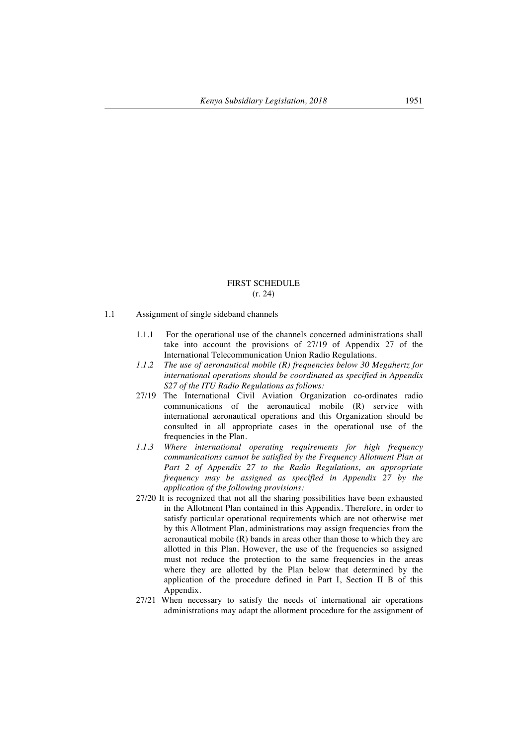#### FIRST SCHEDULE (r. 24)

- 1.1 Assignment of single sideband channels
	- 1.1.1 For the operational use of the channels concerned administrations shall take into account the provisions of 27/19 of Appendix 27 of the International Telecommunication Union Radio Regulations.
	- *1.1.2 The use of aeronautical mobile (R) frequencies below 30 Megahertz for international operations should be coordinated as specified in Appendix S27 of the ITU Radio Regulations as follows:*
	- 27/19 The International Civil Aviation Organization co-ordinates radio communications of the aeronautical mobile (R) service with international aeronautical operations and this Organization should be consulted in all appropriate cases in the operational use of the frequencies in the Plan.
	- *1.1.3 Where international operating requirements for high frequency communications cannot be satisfied by the Frequency Allotment Plan at Part 2 of Appendix 27 to the Radio Regulations, an appropriate frequency may be assigned as specified in Appendix 27 by the application of the following provisions:*
	- 27/20 It is recognized that not all the sharing possibilities have been exhausted in the Allotment Plan contained in this Appendix. Therefore, in order to satisfy particular operational requirements which are not otherwise met by this Allotment Plan, administrations may assign frequencies from the aeronautical mobile (R) bands in areas other than those to which they are allotted in this Plan. However, the use of the frequencies so assigned must not reduce the protection to the same frequencies in the areas where they are allotted by the Plan below that determined by the application of the procedure defined in Part I, Section II B of this Appendix.
	- 27/21 When necessary to satisfy the needs of international air operations administrations may adapt the allotment procedure for the assignment of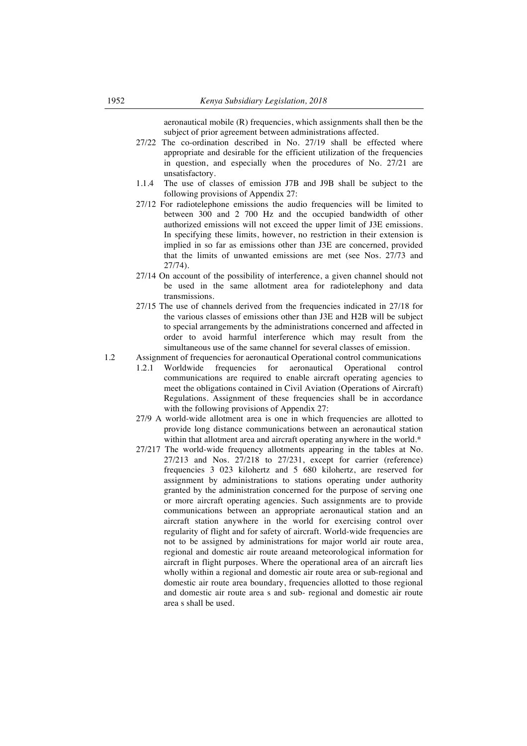aeronautical mobile (R) frequencies, which assignments shall then be the subject of prior agreement between administrations affected.

- 27/22 The co-ordination described in No. 27/19 shall be effected where appropriate and desirable for the efficient utilization of the frequencies in question, and especially when the procedures of No. 27/21 are unsatisfactory.
- 1.1.4 The use of classes of emission J7B and J9B shall be subject to the following provisions of Appendix 27:
- 27/12 For radiotelephone emissions the audio frequencies will be limited to between 300 and 2 700 Hz and the occupied bandwidth of other authorized emissions will not exceed the upper limit of J3E emissions. In specifying these limits, however, no restriction in their extension is implied in so far as emissions other than J3E are concerned, provided that the limits of unwanted emissions are met (see Nos. 27/73 and 27/74).
- 27/14 On account of the possibility of interference, a given channel should not be used in the same allotment area for radiotelephony and data transmissions.
- 27/15 The use of channels derived from the frequencies indicated in 27/18 for the various classes of emissions other than J3E and H2B will be subject to special arrangements by the administrations concerned and affected in order to avoid harmful interference which may result from the simultaneous use of the same channel for several classes of emission.
- 1.2 Assignment of frequencies for aeronautical Operational control communications 1.2.1 Worldwide frequencies for aeronautical Operational control communications are required to enable aircraft operating agencies to meet the obligations contained in Civil Aviation (Operations of Aircraft) Regulations. Assignment of these frequencies shall be in accordance with the following provisions of Appendix 27:
	- 27/9 A world-wide allotment area is one in which frequencies are allotted to provide long distance communications between an aeronautical station within that allotment area and aircraft operating anywhere in the world.\*
	- 27/217 The world-wide frequency allotments appearing in the tables at No. 27/213 and Nos. 27/218 to 27/231, except for carrier (reference) frequencies 3 023 kilohertz and 5 680 kilohertz, are reserved for assignment by administrations to stations operating under authority granted by the administration concerned for the purpose of serving one or more aircraft operating agencies. Such assignments are to provide communications between an appropriate aeronautical station and an aircraft station anywhere in the world for exercising control over regularity of flight and for safety of aircraft. World-wide frequencies are not to be assigned by administrations for major world air route area, regional and domestic air route areaand meteorological information for aircraft in flight purposes. Where the operational area of an aircraft lies wholly within a regional and domestic air route area or sub-regional and domestic air route area boundary, frequencies allotted to those regional and domestic air route area s and sub- regional and domestic air route area s shall be used.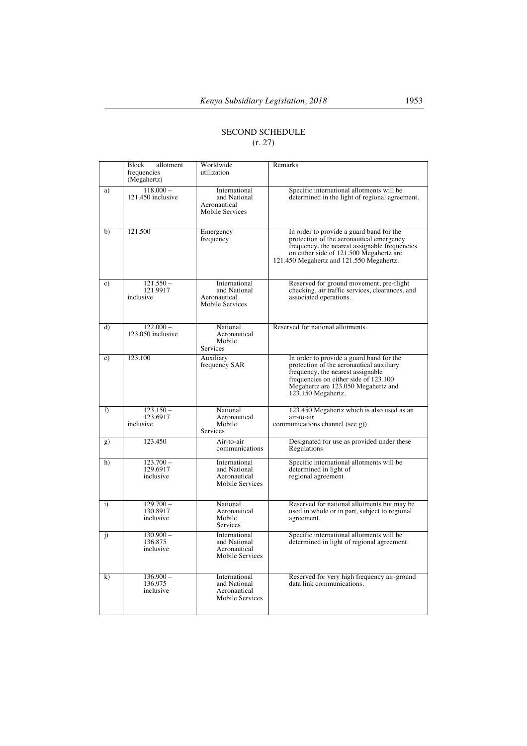# SECOND SCHEDULE (r. 27)

|              | Block<br>allotment<br>frequencies<br>(Megahertz) | Worldwide<br>utilization                                                | Remarks                                                                                                                                                                                                                         |
|--------------|--------------------------------------------------|-------------------------------------------------------------------------|---------------------------------------------------------------------------------------------------------------------------------------------------------------------------------------------------------------------------------|
| a)           | $118,000 -$<br>121.450 inclusive                 | International<br>and National<br>Aeronautical<br>Mobile Services        | Specific international allotments will be<br>determined in the light of regional agreement.                                                                                                                                     |
| b)           | 121.500                                          | Emergency<br>frequency                                                  | In order to provide a guard band for the<br>protection of the aeronautical emergency<br>frequency, the nearest assignable frequencies<br>on either side of 121.500 Megahertz are<br>121.450 Megahertz and 121.550 Megahertz.    |
| c)           | $121.550 -$<br>121.9917<br>inclusive             | International<br>and National<br>Aeronautical<br>Mobile Services        | Reserved for ground movement, pre-flight<br>checking, air traffic services, clearances, and<br>associated operations.                                                                                                           |
| d)           | $122.000 -$<br>123.050 inclusive                 | National<br>Aeronautical<br>Mobile<br><b>Services</b>                   | Reserved for national allotments.                                                                                                                                                                                               |
| e)           | 123.100                                          | Auxiliary<br>frequency SAR                                              | In order to provide a guard band for the<br>protection of the aeronautical auxiliary<br>frequency, the nearest assignable<br>frequencies on either side of 123.100<br>Megahertz are 123.050 Megahertz and<br>123.150 Megahertz. |
| f)           | $123.150 -$<br>123.6917<br>inclusive             | National<br>Aeronautical<br>Mobile<br>Services                          | 123.450 Megahertz which is also used as an<br>air-to-air<br>communications channel (see g))                                                                                                                                     |
| g)           | 123.450                                          | Air-to-air<br>communications                                            | Designated for use as provided under these<br>Regulations                                                                                                                                                                       |
| h)           | $123.700 -$<br>129.6917<br>inclusive             | International<br>and National<br>Aeronautical<br><b>Mobile Services</b> | Specific international allotments will be<br>determined in light of<br>regional agreement                                                                                                                                       |
| $\mathbf{i}$ | $129.700 -$<br>130.8917<br>inclusive             | National<br>Aeronautical<br>Mobile<br>Services                          | Reserved for national allotments but may be<br>used in whole or in part, subject to regional<br>agreement.                                                                                                                      |
| $\mathbf{j}$ | $130.900 -$<br>136.875<br>inclusive              | International<br>and National<br>Aeronautical<br>Mobile Services        | Specific international allotments will be<br>determined in light of regional agreement.                                                                                                                                         |
| k)           | $136.900 -$<br>136.975<br>inclusive              | International<br>and National<br>Aeronautical<br><b>Mobile Services</b> | Reserved for very high frequency air-ground<br>data link communications.                                                                                                                                                        |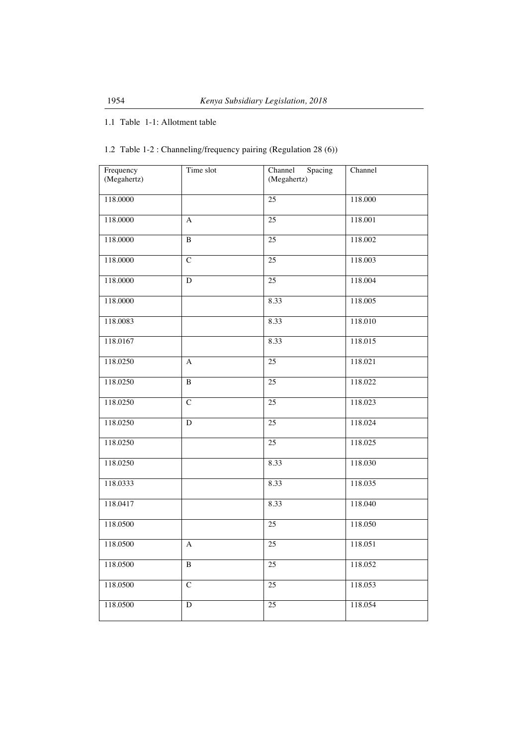# 1.1 Table 1-1: Allotment table

# 1.2 Table 1-2 : Channeling/frequency pairing (Regulation 28 (6))

| Frequency<br>(Megahertz) | Time slot      | Channel<br>Spacing<br>(Megahertz) | Channel |
|--------------------------|----------------|-----------------------------------|---------|
| 118.0000                 |                | 25                                | 118.000 |
| 118.0000                 | A              | $\overline{25}$                   | 118.001 |
| 118.0000                 | $\overline{B}$ | $\overline{25}$                   | 118.002 |
| 118.0000                 | $\overline{C}$ | $\overline{25}$                   | 118.003 |
| 118.0000                 | $\mathbf D$    | $\overline{25}$                   | 118.004 |
| 118.0000                 |                | 8.33                              | 118.005 |
| 118.0083                 |                | 8.33                              | 118.010 |
| 118.0167                 |                | 8.33                              | 118.015 |
| 118.0250                 | A              | 25                                | 118.021 |
| 118.0250                 | $\, {\bf B}$   | 25                                | 118.022 |
| 118.0250                 | $\overline{C}$ | 25                                | 118.023 |
| 118.0250                 | D              | 25                                | 118.024 |
| 118.0250                 |                | 25                                | 118.025 |
| 118.0250                 |                | 8.33                              | 118.030 |
| 118.0333                 |                | 8.33                              | 118.035 |
| 118.0417                 |                | 8.33                              | 118.040 |
| 118.0500                 |                | $\overline{25}$                   | 118.050 |
| 118.0500                 | A              | 25                                | 118.051 |
| 118.0500                 | $\overline{B}$ | 25                                | 118.052 |
| 118.0500                 | $\overline{C}$ | 25                                | 118.053 |
| 118.0500                 | D              | 25                                | 118.054 |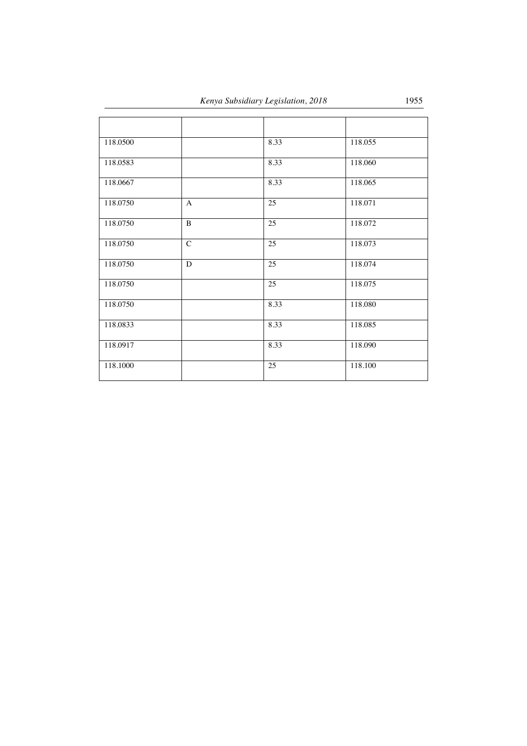| 118.0500 |                | 8.33 | 118.055 |
|----------|----------------|------|---------|
| 118.0583 |                | 8.33 | 118.060 |
| 118.0667 |                | 8.33 | 118.065 |
| 118.0750 | A              | 25   | 118.071 |
| 118.0750 | B              | 25   | 118.072 |
| 118.0750 | $\overline{C}$ | 25   | 118.073 |
| 118.0750 | D              | 25   | 118.074 |
| 118.0750 |                | 25   | 118.075 |
| 118.0750 |                | 8.33 | 118.080 |
| 118.0833 |                | 8.33 | 118.085 |
| 118.0917 |                | 8.33 | 118.090 |
| 118.1000 |                | 25   | 118.100 |
|          |                |      |         |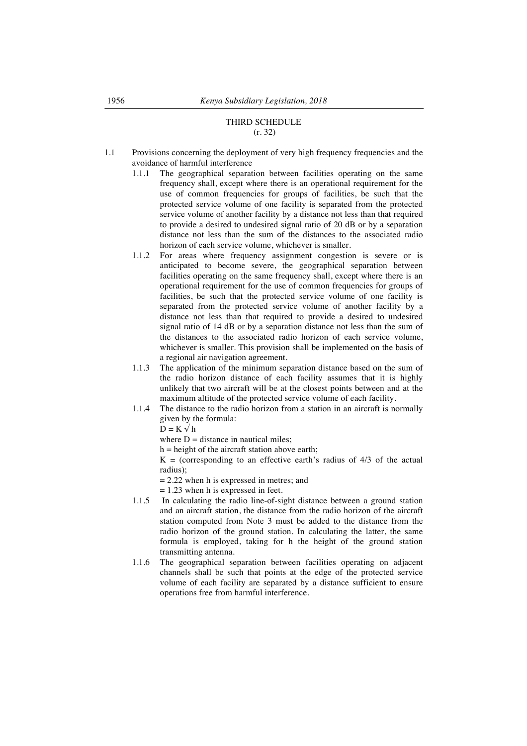# THIRD SCHEDULE (r. 32)

- 1.1 Provisions concerning the deployment of very high frequency frequencies and the avoidance of harmful interference
	- 1.1.1 The geographical separation between facilities operating on the same frequency shall, except where there is an operational requirement for the use of common frequencies for groups of facilities, be such that the protected service volume of one facility is separated from the protected service volume of another facility by a distance not less than that required to provide a desired to undesired signal ratio of 20 dB or by a separation distance not less than the sum of the distances to the associated radio horizon of each service volume, whichever is smaller.
	- 1.1.2 For areas where frequency assignment congestion is severe or is anticipated to become severe, the geographical separation between facilities operating on the same frequency shall, except where there is an operational requirement for the use of common frequencies for groups of facilities, be such that the protected service volume of one facility is separated from the protected service volume of another facility by a distance not less than that required to provide a desired to undesired signal ratio of 14 dB or by a separation distance not less than the sum of the distances to the associated radio horizon of each service volume, whichever is smaller. This provision shall be implemented on the basis of a regional air navigation agreement.
	- 1.1.3 The application of the minimum separation distance based on the sum of the radio horizon distance of each facility assumes that it is highly unlikely that two aircraft will be at the closest points between and at the maximum altitude of the protected service volume of each facility.
	- 1.1.4 The distance to the radio horizon from a station in an aircraft is normally given by the formula:

 $D = K \sqrt{h}$ 

where  $D =$  distance in nautical miles;

 $h =$  height of the aircraft station above earth;

 $K =$  (corresponding to an effective earth's radius of  $4/3$  of the actual radius);

 $= 2.22$  when h is expressed in metres; and

 $= 1.23$  when h is expressed in feet.

- 1.1.5 In calculating the radio line-of-sight distance between a ground station and an aircraft station, the distance from the radio horizon of the aircraft station computed from Note 3 must be added to the distance from the radio horizon of the ground station. In calculating the latter, the same formula is employed, taking for h the height of the ground station transmitting antenna.
- 1.1.6 The geographical separation between facilities operating on adjacent channels shall be such that points at the edge of the protected service volume of each facility are separated by a distance sufficient to ensure operations free from harmful interference.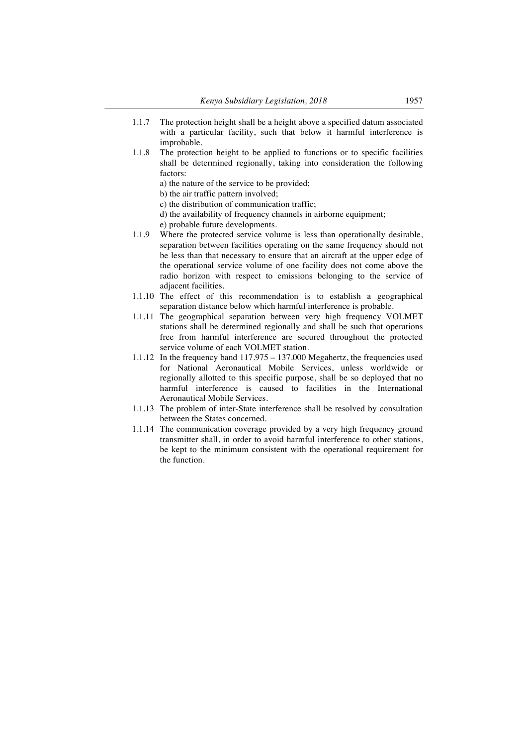- 1.1.7 The protection height shall be a height above a specified datum associated with a particular facility, such that below it harmful interference is improbable.
- 1.1.8 The protection height to be applied to functions or to specific facilities shall be determined regionally, taking into consideration the following factors:

a) the nature of the service to be provided;

b) the air traffic pattern involved;

- c) the distribution of communication traffic;
- d) the availability of frequency channels in airborne equipment;
- e) probable future developments.
- 1.1.9 Where the protected service volume is less than operationally desirable, separation between facilities operating on the same frequency should not be less than that necessary to ensure that an aircraft at the upper edge of the operational service volume of one facility does not come above the radio horizon with respect to emissions belonging to the service of adjacent facilities.
- 1.1.10 The effect of this recommendation is to establish a geographical separation distance below which harmful interference is probable.
- 1.1.11 The geographical separation between very high frequency VOLMET stations shall be determined regionally and shall be such that operations free from harmful interference are secured throughout the protected service volume of each VOLMET station.
- 1.1.12 In the frequency band 117.975 137.000 Megahertz, the frequencies used for National Aeronautical Mobile Services, unless worldwide or regionally allotted to this specific purpose, shall be so deployed that no harmful interference is caused to facilities in the International Aeronautical Mobile Services.
- 1.1.13 The problem of inter-State interference shall be resolved by consultation between the States concerned.
- 1.1.14 The communication coverage provided by a very high frequency ground transmitter shall, in order to avoid harmful interference to other stations, be kept to the minimum consistent with the operational requirement for the function.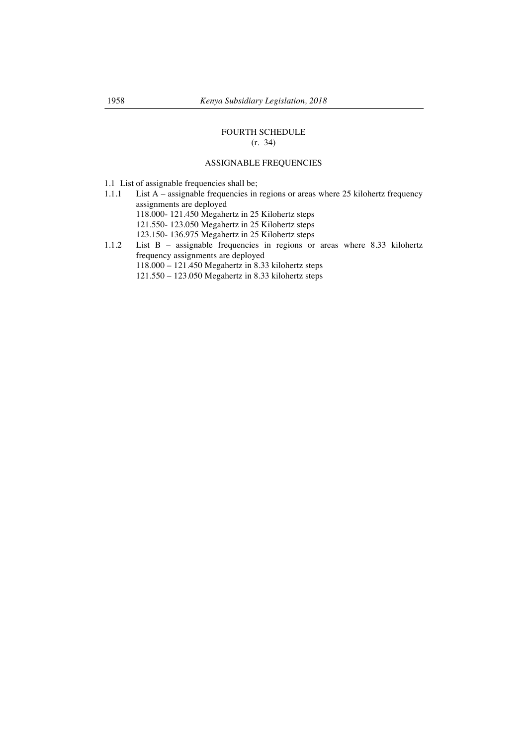# FOURTH SCHEDULE (r. 34)

# ASSIGNABLE FREQUENCIES

- 1.1 List of assignable frequencies shall be;
- 1.1.1 List A assignable frequencies in regions or areas where 25 kilohertz frequency assignments are deployed
	- 118.000- 121.450 Megahertz in 25 Kilohertz steps
	- 121.550- 123.050 Megahertz in 25 Kilohertz steps
	- 123.150- 136.975 Megahertz in 25 Kilohertz steps
- 1.1.2 List B assignable frequencies in regions or areas where 8.33 kilohertz frequency assignments are deployed 118.000 – 121.450 Megahertz in 8.33 kilohertz steps 121.550 – 123.050 Megahertz in 8.33 kilohertz steps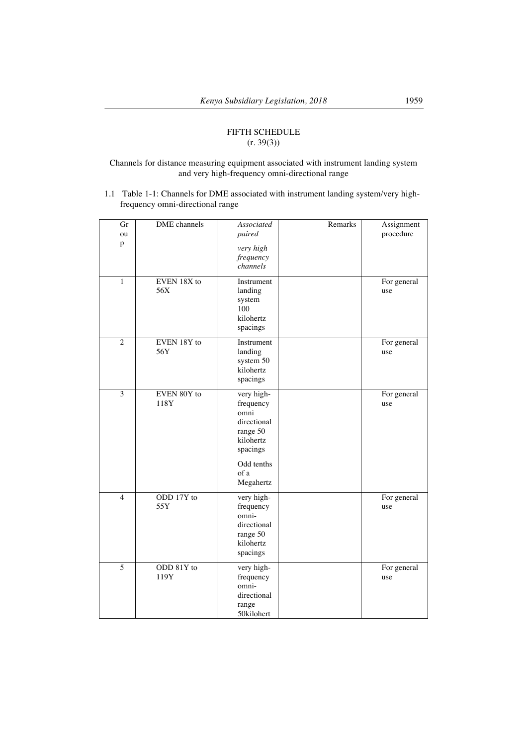# FIFTH SCHEDULE  $(r. 39(3))$

## Channels for distance measuring equipment associated with instrument landing system and very high-frequency omni-directional range

1.1 Table 1-1: Channels for DME associated with instrument landing system/very highfrequency omni-directional range

| Gr<br>ou<br>p  | <b>DME</b> channels | Associated<br>paired<br>very high<br>frequency<br>channels                                                             | Remarks | Assignment<br>procedure |
|----------------|---------------------|------------------------------------------------------------------------------------------------------------------------|---------|-------------------------|
| 1              | EVEN 18X to<br>56X  | Instrument<br>landing<br>system<br>100<br>kilohertz<br>spacings                                                        |         | For general<br>use      |
| $\overline{2}$ | EVEN 18Y to<br>56Y  | Instrument<br>landing<br>system 50<br>kilohertz<br>spacings                                                            |         | For general<br>use      |
| $\overline{3}$ | EVEN 80Y to<br>118Y | very high-<br>frequency<br>omni<br>directional<br>range 50<br>kilohertz<br>spacings<br>Odd tenths<br>of a<br>Megahertz |         | For general<br>use      |
| $\overline{4}$ | ODD 17Y to<br>55Y   | very high-<br>frequency<br>omni-<br>directional<br>range 50<br>kilohertz<br>spacings                                   |         | For general<br>use      |
| $\overline{5}$ | ODD 81Y to<br>119Y  | very high-<br>frequency<br>omni-<br>directional<br>range<br>50kilohert                                                 |         | For general<br>use      |